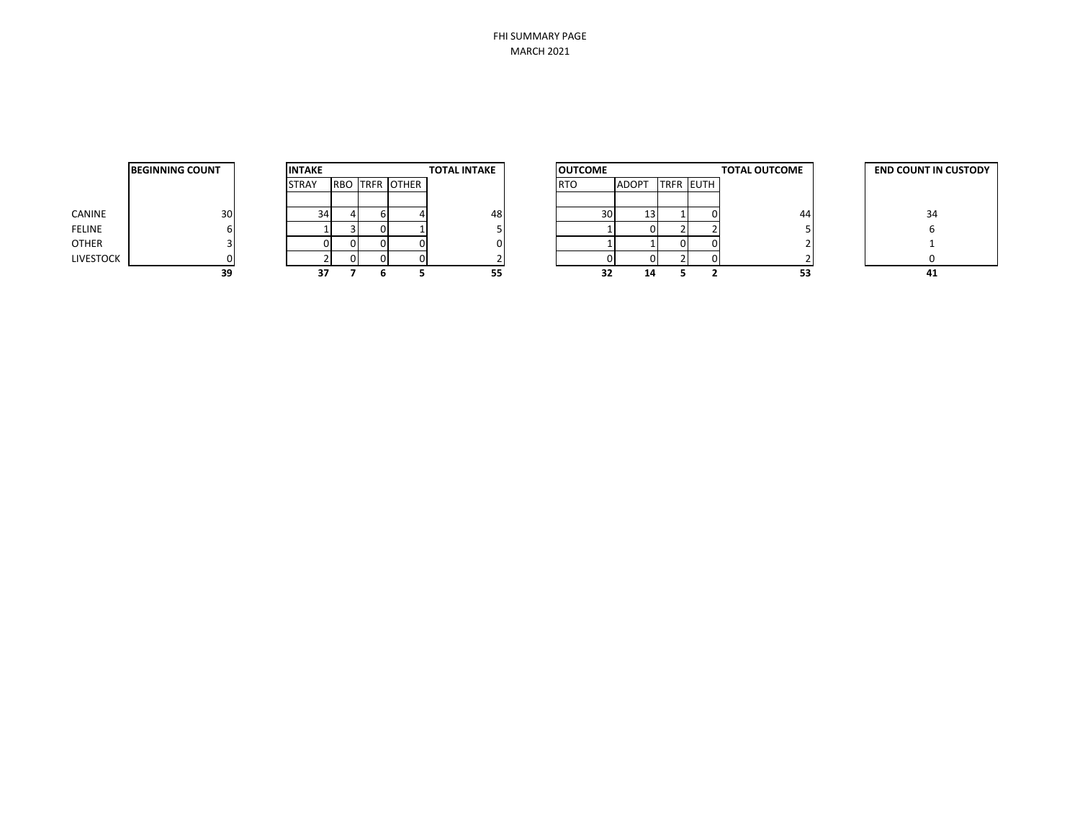FHI SUMMARY PAGE MARCH 2021

|                  | <b>BEGINNING COUNT</b> |
|------------------|------------------------|
|                  |                        |
| CANINE           | 30                     |
| <b>FELINE</b>    | 6                      |
| <b>OTHER</b>     | 3                      |
| <b>LIVESTOCK</b> |                        |
|                  |                        |

| <b>INTAKE</b> |   |                       | <b>TOTAL INTAKE</b> | <b>OUTCOME</b> |       |                  |  |
|---------------|---|-----------------------|---------------------|----------------|-------|------------------|--|
| <b>STRAY</b>  |   | <b>RBO TRFR OTHER</b> |                     | <b>RTO</b>     | ADOPT | <b>TRFR EUTH</b> |  |
|               |   |                       |                     |                |       |                  |  |
| 34            | 6 |                       | 48                  | 30             |       |                  |  |
|               |   |                       |                     |                |       |                  |  |
|               |   |                       |                     |                |       |                  |  |
|               |   |                       |                     |                |       |                  |  |
|               |   |                       |                     |                |       |                  |  |

|           | <b>BEGINNING COUNT</b><br><b>INTAKE</b> |  | <b>TOTAL INTAKE</b><br><b>OUTCOME</b> |    |                       | <b>TOTAL OUTCOME</b> | <b>END COUNT IN CUSTODY</b> |                 |              |                  |    |    |
|-----------|-----------------------------------------|--|---------------------------------------|----|-----------------------|----------------------|-----------------------------|-----------------|--------------|------------------|----|----|
|           |                                         |  | <b>STRAY</b>                          |    | <b>RBO TRFR OTHER</b> |                      |                             | <b>RTO</b>      | <b>ADOPT</b> | <b>TRFR EUTH</b> |    |    |
|           |                                         |  |                                       |    |                       |                      |                             |                 |              |                  |    |    |
| CANINE    | 30 <sub>1</sub>                         |  | 34                                    |    |                       | 48                   |                             | 30 <sup>1</sup> | 131          |                  | 44 | 34 |
| FELINE    |                                         |  |                                       |    |                       |                      |                             |                 |              |                  |    |    |
| OTHER     |                                         |  |                                       |    |                       |                      |                             |                 |              |                  |    |    |
| LIVESTOCK |                                         |  |                                       | ΩL |                       |                      |                             |                 |              |                  |    |    |
|           | 39                                      |  | 37                                    |    |                       | 55                   |                             |                 | 14           |                  | 53 | 41 |

| <b>END COUNT IN CUSTODY</b> |  |  |  |  |  |  |
|-----------------------------|--|--|--|--|--|--|
|                             |  |  |  |  |  |  |
| 34                          |  |  |  |  |  |  |
| 6                           |  |  |  |  |  |  |
| 1                           |  |  |  |  |  |  |
| ŋ                           |  |  |  |  |  |  |
|                             |  |  |  |  |  |  |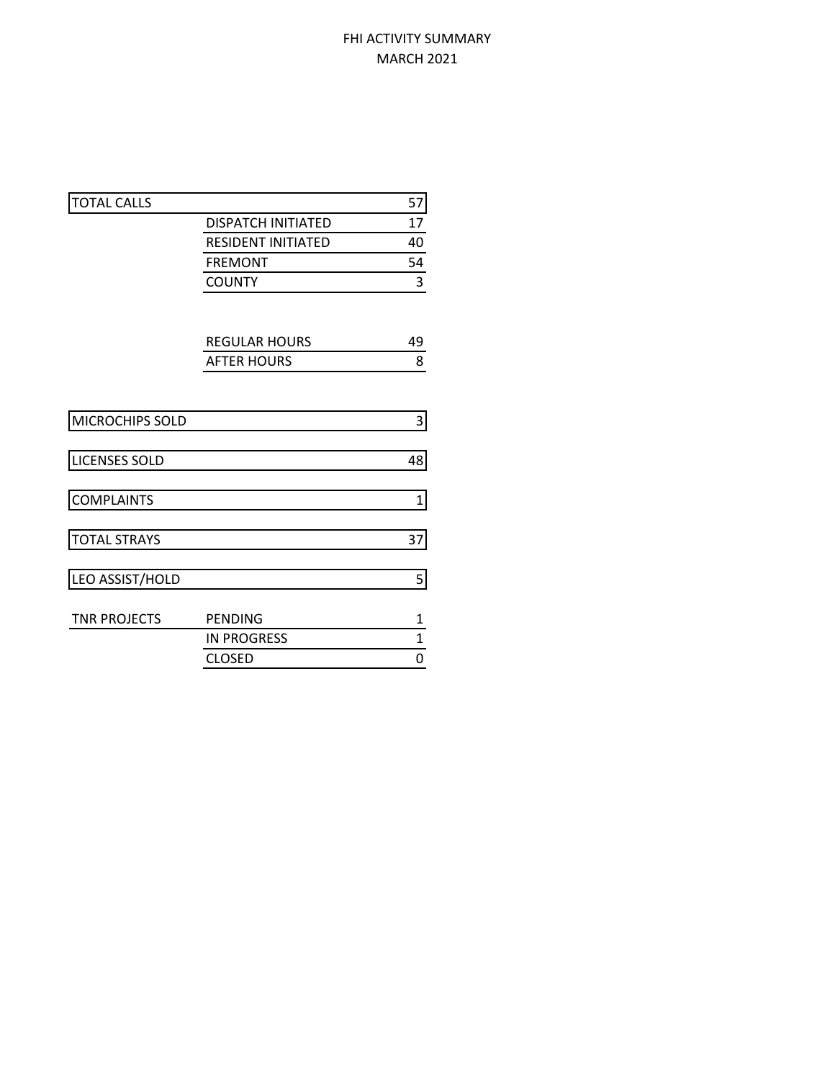## FHI ACTIVITY SUMMARY MARCH 2021

| <b>TOTAL CALLS</b>   |                           | 57           |
|----------------------|---------------------------|--------------|
|                      | <b>DISPATCH INITIATED</b> | 17           |
|                      | <b>RESIDENT INITIATED</b> | 40           |
|                      | <b>FREMONT</b>            | 54           |
|                      | <b>COUNTY</b>             | 3            |
|                      |                           |              |
|                      | <b>REGULAR HOURS</b>      | 49           |
|                      | <b>AFTER HOURS</b>        | 8            |
|                      |                           |              |
| MICROCHIPS SOLD      |                           | 3            |
| <b>LICENSES SOLD</b> |                           | 48           |
| <b>COMPLAINTS</b>    |                           | $\mathbf{1}$ |
| <b>TOTAL STRAYS</b>  |                           | 37           |
| LEO ASSIST/HOLD      |                           | 5            |
| <b>TNR PROJECTS</b>  | <b>PENDING</b>            | 1            |
|                      | <b>IN PROGRESS</b>        | $\mathbf{1}$ |
|                      | <b>CLOSED</b>             | 0            |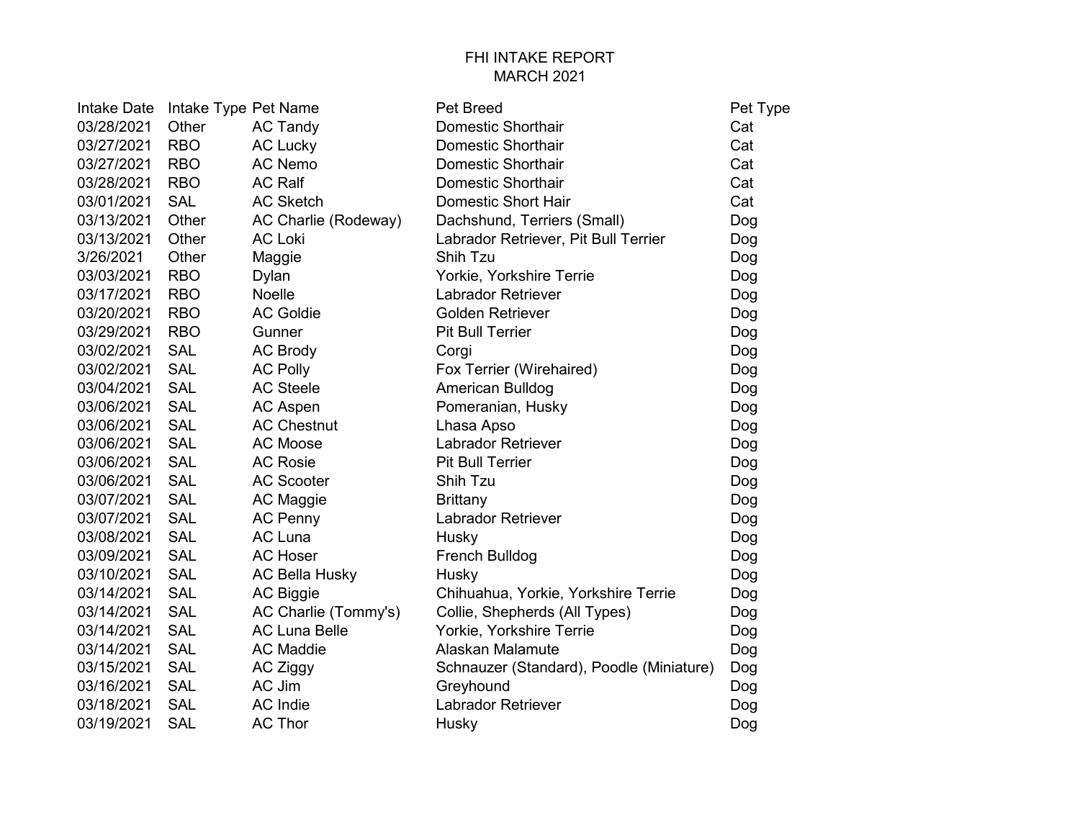## FHI INTAKE REPORT MARCH 2021

| Intake Date | Intake Type Pet Name |                       | <b>Pet Breed</b>                         | Pet Type |
|-------------|----------------------|-----------------------|------------------------------------------|----------|
| 03/28/2021  | Other                | <b>AC Tandy</b>       | <b>Domestic Shorthair</b>                | Cat      |
| 03/27/2021  | <b>RBO</b>           | <b>AC Lucky</b>       | <b>Domestic Shorthair</b>                | Cat      |
| 03/27/2021  | <b>RBO</b>           | <b>AC Nemo</b>        | <b>Domestic Shorthair</b>                | Cat      |
| 03/28/2021  | <b>RBO</b>           | <b>AC Ralf</b>        | <b>Domestic Shorthair</b>                | Cat      |
| 03/01/2021  | <b>SAL</b>           | <b>AC Sketch</b>      | <b>Domestic Short Hair</b>               | Cat      |
| 03/13/2021  | Other                | AC Charlie (Rodeway)  | Dachshund, Terriers (Small)              | Dog      |
| 03/13/2021  | Other                | <b>AC Loki</b>        | Labrador Retriever, Pit Bull Terrier     | Dog      |
| 3/26/2021   | Other                | Maggie                | Shih Tzu                                 | Dog      |
| 03/03/2021  | <b>RBO</b>           | Dylan                 | Yorkie, Yorkshire Terrie                 | Dog      |
| 03/17/2021  | <b>RBO</b>           | <b>Noelle</b>         | <b>Labrador Retriever</b>                | Dog      |
| 03/20/2021  | <b>RBO</b>           | <b>AC Goldie</b>      | <b>Golden Retriever</b>                  | Dog      |
| 03/29/2021  | <b>RBO</b>           | Gunner                | <b>Pit Bull Terrier</b>                  | Dog      |
| 03/02/2021  | <b>SAL</b>           | <b>AC Brody</b>       | Corgi                                    | Dog      |
| 03/02/2021  | <b>SAL</b>           | <b>AC Polly</b>       | Fox Terrier (Wirehaired)                 | Dog      |
| 03/04/2021  | <b>SAL</b>           | <b>AC Steele</b>      | American Bulldog                         | Dog      |
| 03/06/2021  | <b>SAL</b>           | <b>AC Aspen</b>       | Pomeranian, Husky                        | Dog      |
| 03/06/2021  | <b>SAL</b>           | <b>AC Chestnut</b>    | Lhasa Apso                               | Dog      |
| 03/06/2021  | <b>SAL</b>           | <b>AC Moose</b>       | Labrador Retriever                       | Dog      |
| 03/06/2021  | <b>SAL</b>           | <b>AC Rosie</b>       | <b>Pit Bull Terrier</b>                  | Dog      |
| 03/06/2021  | <b>SAL</b>           | <b>AC Scooter</b>     | Shih Tzu                                 | Dog      |
| 03/07/2021  | <b>SAL</b>           | AC Maggie             | <b>Brittany</b>                          | Dog      |
| 03/07/2021  | <b>SAL</b>           | <b>AC Penny</b>       | <b>Labrador Retriever</b>                | Dog      |
| 03/08/2021  | <b>SAL</b>           | <b>AC Luna</b>        | Husky                                    | Dog      |
| 03/09/2021  | <b>SAL</b>           | <b>AC Hoser</b>       | French Bulldog                           | Dog      |
| 03/10/2021  | <b>SAL</b>           | <b>AC Bella Husky</b> | Husky                                    | Dog      |
| 03/14/2021  | <b>SAL</b>           | <b>AC Biggie</b>      | Chihuahua, Yorkie, Yorkshire Terrie      | Dog      |
| 03/14/2021  | <b>SAL</b>           | AC Charlie (Tommy's)  | Collie, Shepherds (All Types)            | Dog      |
| 03/14/2021  | <b>SAL</b>           | <b>AC Luna Belle</b>  | Yorkie, Yorkshire Terrie                 | Dog      |
| 03/14/2021  | <b>SAL</b>           | <b>AC Maddie</b>      | Alaskan Malamute                         | Dog      |
| 03/15/2021  | <b>SAL</b>           | AC Ziggy              | Schnauzer (Standard), Poodle (Miniature) | Dog      |
| 03/16/2021  | <b>SAL</b>           | AC Jim                | Greyhound                                | Dog      |
| 03/18/2021  | <b>SAL</b>           | <b>AC</b> Indie       | <b>Labrador Retriever</b>                | Dog      |
| 03/19/2021  | <b>SAL</b>           | <b>AC Thor</b>        | Husky                                    | Dog      |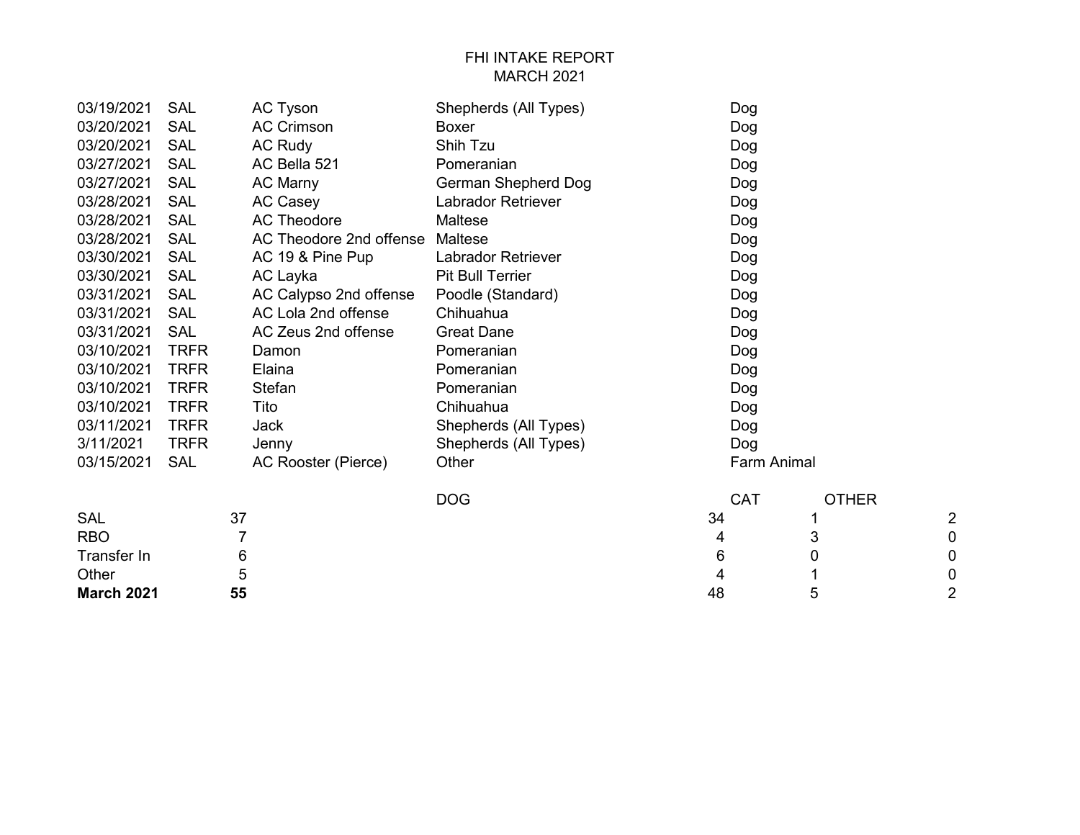## FHI INTAKE REPORT MARCH 2021

| 03/19/2021  | <b>SAL</b>  | AC Tyson                | Shepherds (All Types)      |    | Dog         |              |                |
|-------------|-------------|-------------------------|----------------------------|----|-------------|--------------|----------------|
| 03/20/2021  | <b>SAL</b>  | <b>AC Crimson</b>       | <b>Boxer</b>               |    | Dog         |              |                |
| 03/20/2021  | <b>SAL</b>  | <b>AC Rudy</b>          | Shih Tzu                   |    | Dog         |              |                |
| 03/27/2021  | <b>SAL</b>  | AC Bella 521            | Pomeranian                 |    | Dog         |              |                |
| 03/27/2021  | <b>SAL</b>  | <b>AC Marny</b>         | <b>German Shepherd Dog</b> |    | Dog         |              |                |
| 03/28/2021  | <b>SAL</b>  | <b>AC Casey</b>         | <b>Labrador Retriever</b>  |    | Dog         |              |                |
| 03/28/2021  | <b>SAL</b>  | <b>AC Theodore</b>      | Maltese                    |    | Dog         |              |                |
| 03/28/2021  | SAL         | AC Theodore 2nd offense | <b>Maltese</b>             |    | Dog         |              |                |
| 03/30/2021  | <b>SAL</b>  | AC 19 & Pine Pup        | <b>Labrador Retriever</b>  |    | Dog         |              |                |
| 03/30/2021  | <b>SAL</b>  | AC Layka                | <b>Pit Bull Terrier</b>    |    | Dog         |              |                |
| 03/31/2021  | SAL         | AC Calypso 2nd offense  | Poodle (Standard)          |    | Dog         |              |                |
| 03/31/2021  | <b>SAL</b>  | AC Lola 2nd offense     | Chihuahua                  |    | Dog         |              |                |
| 03/31/2021  | <b>SAL</b>  | AC Zeus 2nd offense     | <b>Great Dane</b>          |    | Dog         |              |                |
| 03/10/2021  | <b>TRFR</b> | Damon                   | Pomeranian                 |    | Dog         |              |                |
| 03/10/2021  | <b>TRFR</b> | Elaina                  | Pomeranian                 |    | Dog         |              |                |
| 03/10/2021  | <b>TRFR</b> | <b>Stefan</b>           | Pomeranian                 |    | Dog         |              |                |
| 03/10/2021  | <b>TRFR</b> | Tito                    | Chihuahua                  |    | Dog         |              |                |
| 03/11/2021  | <b>TRFR</b> | Jack                    | Shepherds (All Types)      |    | Dog         |              |                |
| 3/11/2021   | <b>TRFR</b> | Jenny                   | Shepherds (All Types)      |    | Dog         |              |                |
| 03/15/2021  | <b>SAL</b>  | AC Rooster (Pierce)     | Other                      |    | Farm Animal |              |                |
|             |             |                         | <b>DOG</b>                 |    | <b>CAT</b>  | <b>OTHER</b> |                |
| <b>SAL</b>  | 37          |                         |                            | 34 |             |              | $\overline{c}$ |
| <b>RBO</b>  | 7           |                         |                            | 4  |             | 3            | 0              |
| Transfer In | 6           |                         |                            | 6  |             | 0            | 0              |
| Other       | 5           |                         |                            | 4  |             | 1            | 0              |

**March 2021** 55 2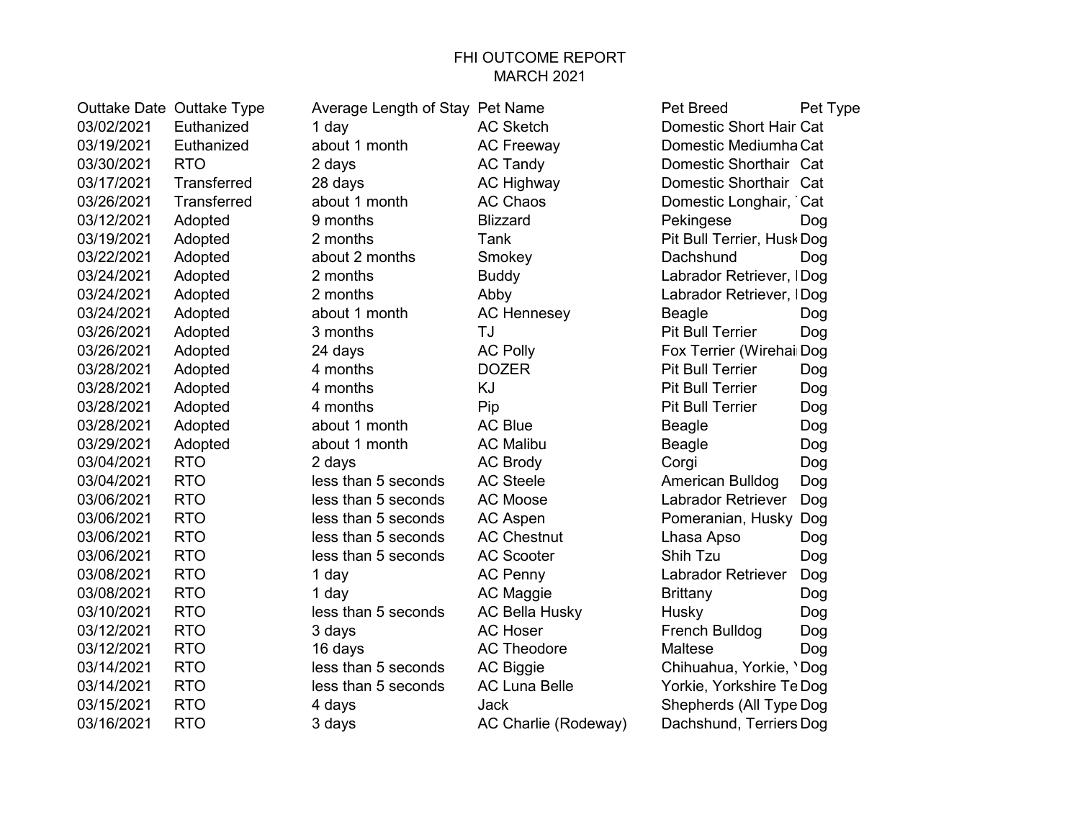#### FHI OUTCOME REPORT MARCH 2021

03/02/2021 Euthanized 1 day AC Sketch Domestic Short Hair Cat<br>03/19/2021 Euthanized about 1 month AC Freeway Domestic Mediumha Cat 03/19/2021 Euthanized about 1 month AC Freeway Domestic Mediumha Cat 03/30/2021 RTO 2 days AC Tandy Domestic Shorthair Cat 03/17/2021 Transferred 28 days AC Highway Domestic Shorthair Cat 03/26/2021 Transferred about 1 month AC Chaos Domestic Longhair, Cat 03/12/2021 Adopted 9 months Blizzard Pekingese Dog 03/19/2021 Adopted 2 months Tank Tank Pit Bull Terrier, HuskDog 03/22/2021 Adopted about 2 months Smokey Charles Bachshund Dog 03/24/2021 Adopted 2 months Buddy Buddy Labrador Retriever, IDog 03/24/2021 Adopted 2 months Abby Labrador Retriever, IDog 03/24/2021 Adopted about 1 month AC Hennesey Beagle Dog 03/26/2021 Adopted 3 months TJ Pit Bull Terrier Dog 03/26/2021 Adopted 24 days AC Polly Fox Terrier (WirehairDog) 03/28/2021 Adopted 4 months DOZER Pit Bull Terrier Dog 03/28/2021 Adopted 4 months KJ Pit Bull Terrier Dog 03/28/2021 Adopted 4 months Pip Pit Bull Terrier Dog 03/28/2021 Adopted about 1 month AC Blue Beagle Dog 03/29/2021 Adopted about 1 month AC Malibu Beagle Dog 03/04/2021 RTO 2 days AC Brody Corgi Dog 03/04/2021 RTO less than 5 seconds AC Steele American Bulldog Dog 03/06/2021 RTO less than 5 seconds AC Moose Labrador Retriever Dog 03/06/2021 RTO less than 5 seconds AC Aspen Pomeranian, Husky Dog 03/06/2021 RTO less than 5 seconds AC Chestnut Lhasa Apso Dog 03/06/2021 RTO less than 5 seconds AC Scooter Shih Tzu Dog 03/08/2021 RTO 1 day 1 AC Penny Labrador Retriever Dog 03/08/2021 RTO 1 day AC Maggie Brittany Dog 03/10/2021 RTO less than 5 seconds AC Bella Husky Husky Dog 03/12/2021 RTO 3 days AC Hoser French Bulldog Dog 03/12/2021 RTO 16 days AC Theodore Maltese Dog 03/14/2021 RTO less than 5 seconds AC Biggie Chihuahua, Yorkie, 'Dog 03/14/2021 RTO less than 5 seconds AC Luna Belle Yorkie, Yorkshire TeDog 03/15/2021 RTO 4 days Jack Shepherds (All Type Dog 03/16/2021 RTO 3 days AC Charlie (Rodeway) Dachshund, Terriers Dog

Outtake Date Outtake Type Average Length of Stay Pet Name Pet Breed Pet Type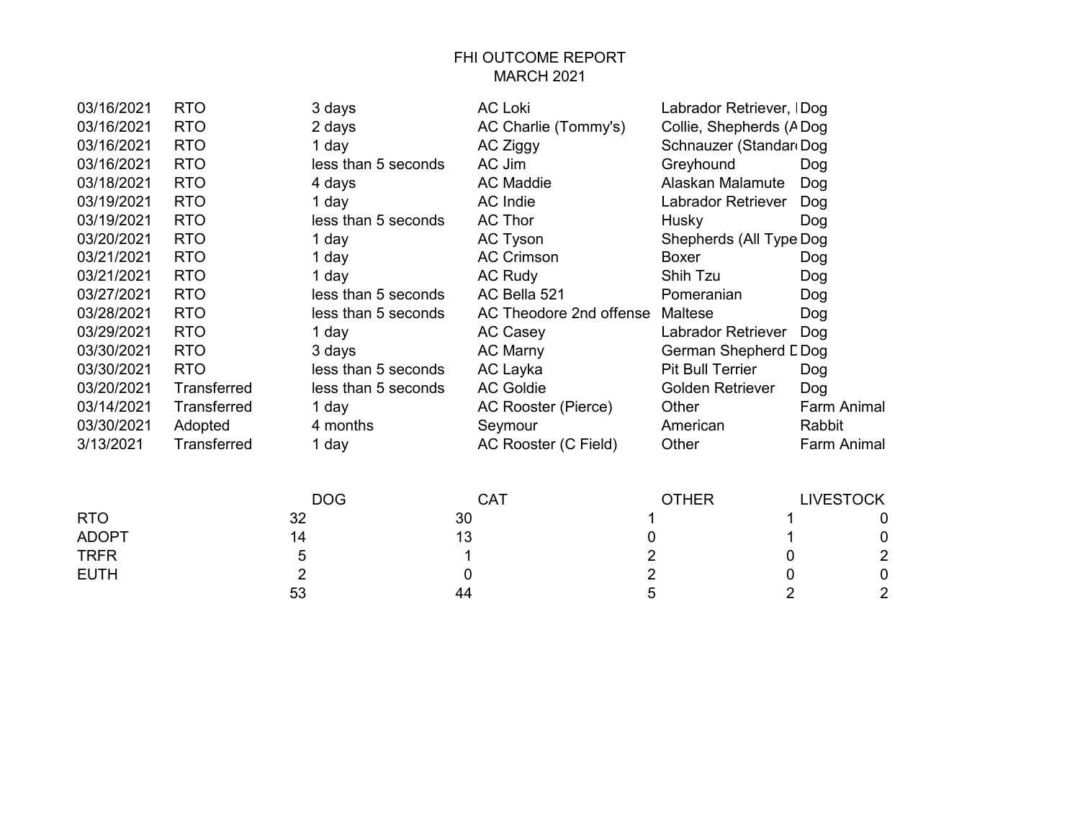# FHI OUTCOME REPORT MARCH 2021

| 03/16/2021   | <b>RTO</b>         | 3 days              | <b>AC Loki</b>          | Labrador Retriever, IDog |                  |
|--------------|--------------------|---------------------|-------------------------|--------------------------|------------------|
| 03/16/2021   | <b>RTO</b>         | 2 days              | AC Charlie (Tommy's)    | Collie, Shepherds (ADog  |                  |
| 03/16/2021   | <b>RTO</b>         | 1 day               | AC Ziggy                | Schnauzer (Standar Dog   |                  |
| 03/16/2021   | <b>RTO</b>         | less than 5 seconds | AC Jim                  | Greyhound                | Dog              |
| 03/18/2021   | <b>RTO</b>         | 4 days              | <b>AC Maddie</b>        | Alaskan Malamute         | Dog              |
| 03/19/2021   | <b>RTO</b>         | 1 day               | AC Indie                | Labrador Retriever       | Dog              |
| 03/19/2021   | <b>RTO</b>         | less than 5 seconds | <b>AC Thor</b>          | Husky                    | Dog              |
| 03/20/2021   | <b>RTO</b>         | 1 day               | AC Tyson                | Shepherds (All Type Dog  |                  |
| 03/21/2021   | <b>RTO</b>         | 1 day               | <b>AC Crimson</b>       | Boxer                    | Dog              |
| 03/21/2021   | <b>RTO</b>         | 1 day               | <b>AC Rudy</b>          | Shih Tzu                 | Dog              |
| 03/27/2021   | <b>RTO</b>         | less than 5 seconds | AC Bella 521            | Pomeranian               | Dog              |
| 03/28/2021   | <b>RTO</b>         | less than 5 seconds | AC Theodore 2nd offense | Maltese                  | Dog              |
| 03/29/2021   | <b>RTO</b>         | 1 day               | <b>AC Casey</b>         | Labrador Retriever       | Dog              |
| 03/30/2021   | <b>RTO</b>         | 3 days              | AC Marny                | German Shepherd LDog     |                  |
| 03/30/2021   | <b>RTO</b>         | less than 5 seconds | AC Layka                | <b>Pit Bull Terrier</b>  | Dog              |
| 03/20/2021   | Transferred        | less than 5 seconds | <b>AC Goldie</b>        | Golden Retriever         | Dog              |
| 03/14/2021   | <b>Transferred</b> | 1 day               | AC Rooster (Pierce)     | Other                    | Farm Animal      |
| 03/30/2021   | Adopted            | 4 months            | Seymour                 | American                 | Rabbit           |
| 3/13/2021    | Transferred        | 1 day               | AC Rooster (C Field)    | Other                    | Farm Animal      |
|              |                    | <b>DOG</b>          | <b>CAT</b>              | <b>OTHER</b>             | <b>LIVESTOCK</b> |
| <b>RTO</b>   |                    | 32                  | 30                      |                          | 0                |
| <b>ADOPT</b> |                    | 14                  | 13<br>0                 |                          | 0                |
| <b>TRFR</b>  |                    | 5                   | 2<br>1                  | 0                        | $\overline{c}$   |

EUTH 2 0 2 0 0

53 44 5 2 2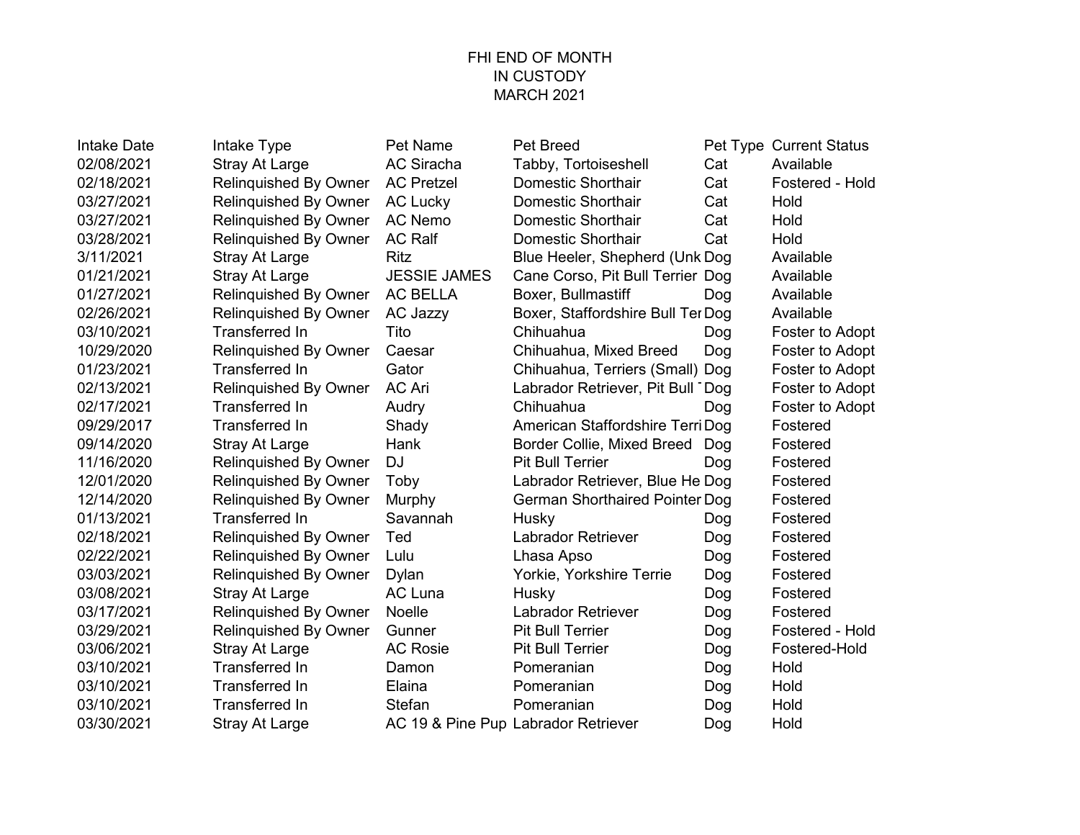#### FHI END OF MONTH IN CUSTODY MARCH 2021

| <b>Intake Date</b> | Intake Type                  | <b>Pet Name</b>     | <b>Pet Breed</b>                      |     | Pet Type Current Status |
|--------------------|------------------------------|---------------------|---------------------------------------|-----|-------------------------|
| 02/08/2021         | <b>Stray At Large</b>        | <b>AC Siracha</b>   | Tabby, Tortoiseshell                  | Cat | Available               |
| 02/18/2021         | Relinquished By Owner        | <b>AC Pretzel</b>   | <b>Domestic Shorthair</b>             | Cat | Fostered - Hold         |
| 03/27/2021         | Relinquished By Owner        | <b>AC Lucky</b>     | Domestic Shorthair                    | Cat | Hold                    |
| 03/27/2021         | Relinquished By Owner        | <b>AC Nemo</b>      | <b>Domestic Shorthair</b>             | Cat | Hold                    |
| 03/28/2021         | Relinquished By Owner        | <b>AC Ralf</b>      | <b>Domestic Shorthair</b>             | Cat | Hold                    |
| 3/11/2021          | <b>Stray At Large</b>        | <b>Ritz</b>         | Blue Heeler, Shepherd (Unk Dog        |     | Available               |
| 01/21/2021         | <b>Stray At Large</b>        | <b>JESSIE JAMES</b> | Cane Corso, Pit Bull Terrier Dog      |     | Available               |
| 01/27/2021         | Relinquished By Owner        | <b>AC BELLA</b>     | Boxer, Bullmastiff                    | Dog | Available               |
| 02/26/2021         | Relinquished By Owner        | <b>AC Jazzy</b>     | Boxer, Staffordshire Bull Ter Dog     |     | Available               |
| 03/10/2021         | <b>Transferred In</b>        | Tito                | Chihuahua                             | Dog | Foster to Adopt         |
| 10/29/2020         | <b>Relinquished By Owner</b> | Caesar              | Chihuahua, Mixed Breed                | Dog | Foster to Adopt         |
| 01/23/2021         | <b>Transferred In</b>        | Gator               | Chihuahua, Terriers (Small) Dog       |     | Foster to Adopt         |
| 02/13/2021         | Relinquished By Owner        | <b>AC Ari</b>       | Labrador Retriever, Pit Bull Dog      |     | Foster to Adopt         |
| 02/17/2021         | Transferred In               | Audry               | Chihuahua                             | Dog | Foster to Adopt         |
| 09/29/2017         | <b>Transferred In</b>        | Shady               | American Staffordshire Terri Dog      |     | Fostered                |
| 09/14/2020         | <b>Stray At Large</b>        | Hank                | Border Collie, Mixed Breed            | Dog | Fostered                |
| 11/16/2020         | Relinquished By Owner        | <b>DJ</b>           | <b>Pit Bull Terrier</b>               | Dog | Fostered                |
| 12/01/2020         | <b>Relinquished By Owner</b> | Toby                | Labrador Retriever, Blue He Dog       |     | Fostered                |
| 12/14/2020         | <b>Relinquished By Owner</b> | Murphy              | <b>German Shorthaired Pointer Dog</b> |     | Fostered                |
| 01/13/2021         | <b>Transferred In</b>        | Savannah            | Husky                                 | Dog | Fostered                |
| 02/18/2021         | <b>Relinquished By Owner</b> | Ted                 | <b>Labrador Retriever</b>             | Dog | Fostered                |
| 02/22/2021         | <b>Relinquished By Owner</b> | Lulu                | Lhasa Apso                            | Dog | Fostered                |
| 03/03/2021         | Relinquished By Owner        | Dylan               | Yorkie, Yorkshire Terrie              | Dog | Fostered                |
| 03/08/2021         | <b>Stray At Large</b>        | <b>AC Luna</b>      | Husky                                 | Dog | Fostered                |
| 03/17/2021         | Relinquished By Owner        | <b>Noelle</b>       | <b>Labrador Retriever</b>             | Dog | Fostered                |
| 03/29/2021         | <b>Relinquished By Owner</b> | Gunner              | <b>Pit Bull Terrier</b>               | Dog | Fostered - Hold         |
| 03/06/2021         | <b>Stray At Large</b>        | <b>AC Rosie</b>     | <b>Pit Bull Terrier</b>               | Dog | Fostered-Hold           |
| 03/10/2021         | Transferred In               | Damon               | Pomeranian                            | Dog | Hold                    |
| 03/10/2021         | <b>Transferred In</b>        | Elaina              | Pomeranian                            | Dog | Hold                    |
| 03/10/2021         | Transferred In               | Stefan              | Pomeranian                            | Dog | Hold                    |
| 03/30/2021         | <b>Stray At Large</b>        |                     | AC 19 & Pine Pup Labrador Retriever   | Dog | Hold                    |